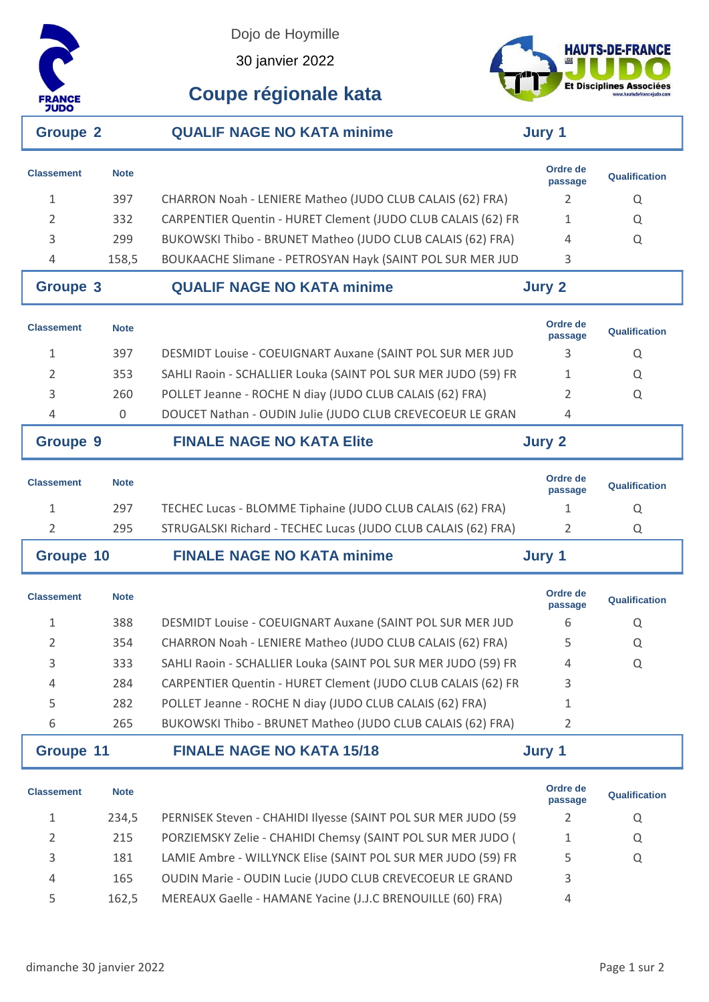

Dojo de Hoymille

30 janvier 2022



**Coupe régionale kata**

| <b>Groupe 2</b>   |             | <b>QUALIF NAGE NO KATA minime</b>                             | Jury 1              |                      |
|-------------------|-------------|---------------------------------------------------------------|---------------------|----------------------|
| <b>Classement</b> | <b>Note</b> |                                                               | Ordre de<br>passage | Qualification        |
| $\mathbf{1}$      | 397         | CHARRON Noah - LENIERE Matheo (JUDO CLUB CALAIS (62) FRA)     | 2                   | Q                    |
| 2                 | 332         | CARPENTIER Quentin - HURET Clement (JUDO CLUB CALAIS (62) FR  | $\mathbf{1}$        | Q                    |
| 3                 | 299         | BUKOWSKI Thibo - BRUNET Matheo (JUDO CLUB CALAIS (62) FRA)    | 4                   | Q                    |
| 4                 | 158,5       | BOUKAACHE Slimane - PETROSYAN Hayk (SAINT POL SUR MER JUD     | 3                   |                      |
| <b>Groupe 3</b>   |             | <b>QUALIF NAGE NO KATA minime</b>                             | <b>Jury 2</b>       |                      |
| <b>Classement</b> | <b>Note</b> |                                                               | Ordre de<br>passage | <b>Qualification</b> |
| 1                 | 397         | DESMIDT Louise - COEUIGNART Auxane (SAINT POL SUR MER JUD     | 3                   | Q                    |
| 2                 | 353         | SAHLI Raoin - SCHALLIER Louka (SAINT POL SUR MER JUDO (59) FR | $\mathbf{1}$        | Q                    |
| 3                 | 260         | POLLET Jeanne - ROCHE N diay (JUDO CLUB CALAIS (62) FRA)      | $\overline{2}$      | Q                    |
| 4                 | 0           | DOUCET Nathan - OUDIN Julie (JUDO CLUB CREVECOEUR LE GRAN     | 4                   |                      |
| <b>Groupe 9</b>   |             | <b>FINALE NAGE NO KATA Elite</b>                              | <b>Jury 2</b>       |                      |
| <b>Classement</b> | <b>Note</b> |                                                               | Ordre de<br>passage | Qualification        |
| 1                 | 297         | TECHEC Lucas - BLOMME Tiphaine (JUDO CLUB CALAIS (62) FRA)    | 1                   | Q                    |
| 2                 | 295         | STRUGALSKI Richard - TECHEC Lucas (JUDO CLUB CALAIS (62) FRA) | 2                   | Q                    |
| <b>Groupe 10</b>  |             | <b>FINALE NAGE NO KATA minime</b>                             | Jury 1              |                      |
| <b>Classement</b> | <b>Note</b> |                                                               | Ordre de<br>passage | Qualification        |
| 1                 | 388         | DESMIDT Louise - COEUIGNART Auxane (SAINT POL SUR MER JUD     | 6                   | Q                    |
| 2                 | 354         | CHARRON Noah - LENIERE Matheo (JUDO CLUB CALAIS (62) FRA)     | 5                   | Q                    |
| 3                 | 333         | SAHLI Raoin - SCHALLIER Louka (SAINT POL SUR MER JUDO (59) FR | 4                   | Q                    |
| 4                 | 284         | CARPENTIER Quentin - HURET Clement (JUDO CLUB CALAIS (62) FR  | 3                   |                      |
| 5                 | 282         | POLLET Jeanne - ROCHE N diay (JUDO CLUB CALAIS (62) FRA)      | 1                   |                      |
| 6                 | 265         | BUKOWSKI Thibo - BRUNET Matheo (JUDO CLUB CALAIS (62) FRA)    | 2                   |                      |
| <b>Groupe 11</b>  |             | <b>FINALE NAGE NO KATA 15/18</b>                              | Jury 1              |                      |
| <b>Classement</b> | <b>Note</b> |                                                               | Ordre de<br>passage | Qualification        |
| 1                 | 234,5       | PERNISEK Steven - CHAHIDI Ilyesse (SAINT POL SUR MER JUDO (59 | $\overline{2}$      | Q                    |
| $\overline{2}$    | 215         | PORZIEMSKY Zelie - CHAHIDI Chemsy (SAINT POL SUR MER JUDO (   | 1                   | Q                    |
| 3                 | 181         | LAMIE Ambre - WILLYNCK Elise (SAINT POL SUR MER JUDO (59) FR  | 5                   | Q                    |
| 4                 | 165         | OUDIN Marie - OUDIN Lucie (JUDO CLUB CREVECOEUR LE GRAND      | 3                   |                      |
| 5                 | 162,5       | MEREAUX Gaelle - HAMANE Yacine (J.J.C BRENOUILLE (60) FRA)    | 4                   |                      |